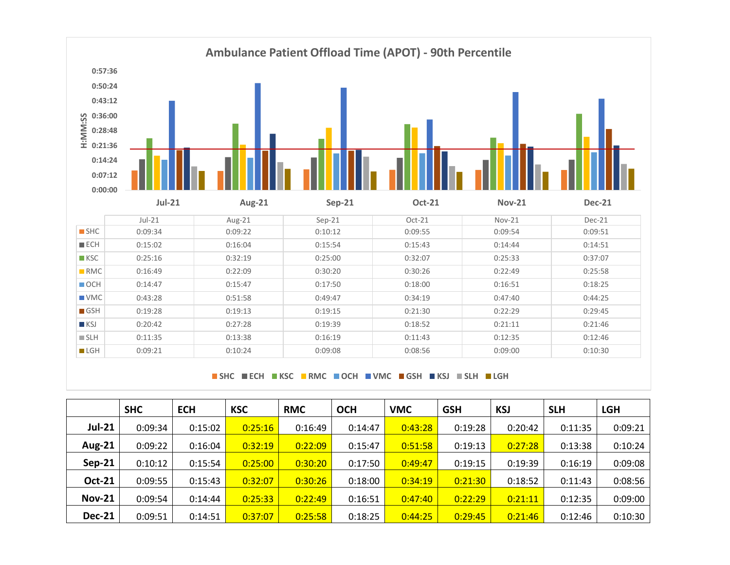

**SHC ECH KSC RMC OCH VMC GSH KSJ SLH LGH**

|               | <b>SHC</b> | <b>ECH</b> | <b>KSC</b> | <b>RMC</b> | <b>OCH</b> | <b>VMC</b> | <b>GSH</b> | <b>KSJ</b> | <b>SLH</b> | <b>LGH</b> |
|---------------|------------|------------|------------|------------|------------|------------|------------|------------|------------|------------|
| <b>Jul-21</b> | 0:09:34    | 0:15:02    | 0:25:16    | 0:16:49    | 0:14:47    | 0:43:28    | 0:19:28    | 0:20:42    | 0:11:35    | 0:09:21    |
| <b>Aug-21</b> | 0:09:22    | 0:16:04    | 0:32:19    | 0:22:09    | 0:15:47    | 0:51:58    | 0:19:13    | 0:27:28    | 0:13:38    | 0:10:24    |
| $Sep-21$      | 0:10:12    | 0:15:54    | 0:25:00    | 0:30:20    | 0:17:50    | 0:49:47    | 0:19:15    | 0:19:39    | 0:16:19    | 0:09:08    |
| Oct-21        | 0:09:55    | 0:15:43    | 0:32:07    | 0:30:26    | 0:18:00    | 0:34:19    | 0:21:30    | 0:18:52    | 0:11:43    | 0:08:56    |
| <b>Nov-21</b> | 0:09:54    | 0:14:44    | 0:25:33    | 0:22:49    | 0:16:51    | 0:47:40    | 0:22:29    | 0:21:11    | 0:12:35    | 0:09:00    |
| <b>Dec-21</b> | 0:09:51    | 0:14:51    | 0:37:07    | 0:25:58    | 0:18:25    | 0:44:25    | 0:29:45    | 0:21:46    | 0:12:46    | 0:10:30    |